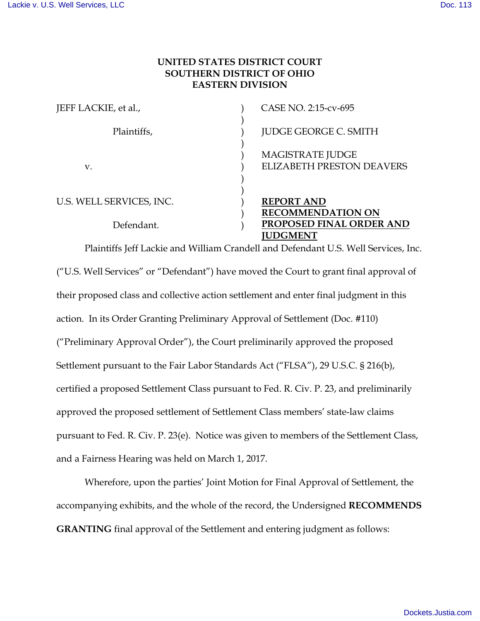## **UNITED STATES DISTRICT COURT SOUTHERN DISTRICT OF OHIO EASTERN DIVISION**

| JEFF LACKIE, et al.,     | CASE NO. 2:15-cv-695                                        |
|--------------------------|-------------------------------------------------------------|
| Plaintiffs,              | <b>JUDGE GEORGE C. SMITH</b>                                |
| V.                       | <b>MAGISTRATE JUDGE</b><br><b>ELIZABETH PRESTON DEAVERS</b> |
| U.S. WELL SERVICES, INC. | <b>REPORT AND</b><br><b>RECOMMENDATION ON</b>               |
| Defendant.               | PROPOSED FINAL ORDER AND<br><b>UDGMENT</b>                  |

Plaintiffs Jeff Lackie and William Crandell and Defendant U.S. Well Services, Inc. ("U.S. Well Services" or "Defendant") have moved the Court to grant final approval of their proposed class and collective action settlement and enter final judgment in this action. In its Order Granting Preliminary Approval of Settlement (Doc. #110) ("Preliminary Approval Order"), the Court preliminarily approved the proposed Settlement pursuant to the Fair Labor Standards Act ("FLSA"), 29 U.S.C. § 216(b), certified a proposed Settlement Class pursuant to Fed. R. Civ. P. 23, and preliminarily approved the proposed settlement of Settlement Class members' state-law claims pursuant to Fed. R. Civ. P. 23(e). Notice was given to members of the Settlement Class, and a Fairness Hearing was held on March 1, 2017.

Wherefore, upon the parties' Joint Motion for Final Approval of Settlement, the accompanying exhibits, and the whole of the record, the Undersigned **RECOMMENDS GRANTING** final approval of the Settlement and entering judgment as follows: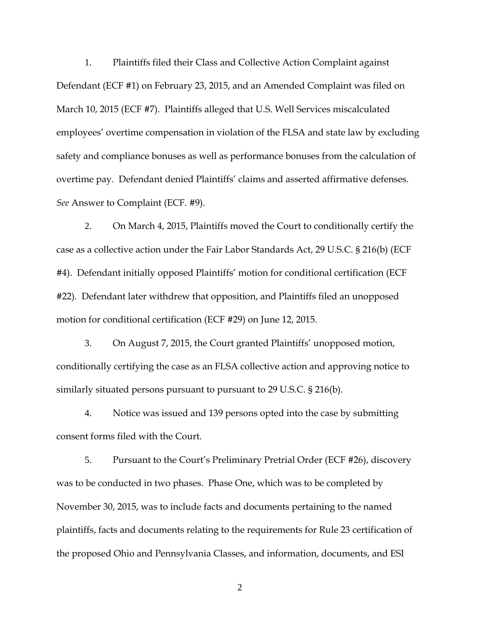1. Plaintiffs filed their Class and Collective Action Complaint against Defendant (ECF #1) on February 23, 2015, and an Amended Complaint was filed on March 10, 2015 (ECF #7). Plaintiffs alleged that U.S. Well Services miscalculated employees' overtime compensation in violation of the FLSA and state law by excluding safety and compliance bonuses as well as performance bonuses from the calculation of overtime pay. Defendant denied Plaintiffs' claims and asserted affirmative defenses. *See* Answer to Complaint (ECF. #9).

2. On March 4, 2015, Plaintiffs moved the Court to conditionally certify the case as a collective action under the Fair Labor Standards Act, 29 U.S.C. § 216(b) (ECF #4). Defendant initially opposed Plaintiffs' motion for conditional certification (ECF #22). Defendant later withdrew that opposition, and Plaintiffs filed an unopposed motion for conditional certification (ECF #29) on June 12, 2015.

3. On August 7, 2015, the Court granted Plaintiffs' unopposed motion, conditionally certifying the case as an FLSA collective action and approving notice to similarly situated persons pursuant to pursuant to 29 U.S.C. § 216(b).

4. Notice was issued and 139 persons opted into the case by submitting consent forms filed with the Court.

5. Pursuant to the Court's Preliminary Pretrial Order (ECF #26), discovery was to be conducted in two phases. Phase One, which was to be completed by November 30, 2015, was to include facts and documents pertaining to the named plaintiffs, facts and documents relating to the requirements for Rule 23 certification of the proposed Ohio and Pennsylvania Classes, and information, documents, and ESI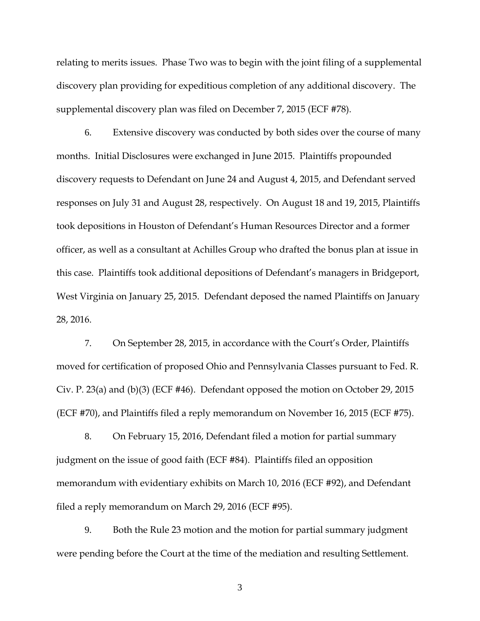relating to merits issues. Phase Two was to begin with the joint filing of a supplemental discovery plan providing for expeditious completion of any additional discovery. The supplemental discovery plan was filed on December 7, 2015 (ECF #78).

6. Extensive discovery was conducted by both sides over the course of many months. Initial Disclosures were exchanged in June 2015. Plaintiffs propounded discovery requests to Defendant on June 24 and August 4, 2015, and Defendant served responses on July 31 and August 28, respectively. On August 18 and 19, 2015, Plaintiffs took depositions in Houston of Defendant's Human Resources Director and a former officer, as well as a consultant at Achilles Group who drafted the bonus plan at issue in this case. Plaintiffs took additional depositions of Defendant's managers in Bridgeport, West Virginia on January 25, 2015. Defendant deposed the named Plaintiffs on January 28, 2016.

7. On September 28, 2015, in accordance with the Court's Order, Plaintiffs moved for certification of proposed Ohio and Pennsylvania Classes pursuant to Fed. R. Civ. P. 23(a) and (b)(3) (ECF #46). Defendant opposed the motion on October 29, 2015 (ECF #70), and Plaintiffs filed a reply memorandum on November 16, 2015 (ECF #75).

8. On February 15, 2016, Defendant filed a motion for partial summary judgment on the issue of good faith (ECF #84). Plaintiffs filed an opposition memorandum with evidentiary exhibits on March 10, 2016 (ECF #92), and Defendant filed a reply memorandum on March 29, 2016 (ECF #95).

9. Both the Rule 23 motion and the motion for partial summary judgment were pending before the Court at the time of the mediation and resulting Settlement.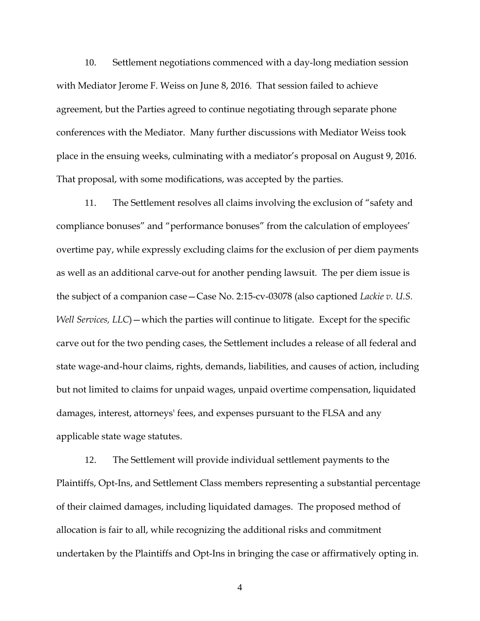10. Settlement negotiations commenced with a day-long mediation session with Mediator Jerome F. Weiss on June 8, 2016. That session failed to achieve agreement, but the Parties agreed to continue negotiating through separate phone conferences with the Mediator. Many further discussions with Mediator Weiss took place in the ensuing weeks, culminating with a mediator's proposal on August 9, 2016. That proposal, with some modifications, was accepted by the parties.

11. The Settlement resolves all claims involving the exclusion of "safety and compliance bonuses" and "performance bonuses" from the calculation of employees' overtime pay, while expressly excluding claims for the exclusion of per diem payments as well as an additional carve-out for another pending lawsuit. The per diem issue is the subject of a companion case—Case No. 2:15-cv-03078 (also captioned *Lackie v. U.S. Well Services, LLC*) — which the parties will continue to litigate. Except for the specific carve out for the two pending cases, the Settlement includes a release of all federal and state wage-and-hour claims, rights, demands, liabilities, and causes of action, including but not limited to claims for unpaid wages, unpaid overtime compensation, liquidated damages, interest, attorneys' fees, and expenses pursuant to the FLSA and any applicable state wage statutes.

12. The Settlement will provide individual settlement payments to the Plaintiffs, Opt-Ins, and Settlement Class members representing a substantial percentage of their claimed damages, including liquidated damages. The proposed method of allocation is fair to all, while recognizing the additional risks and commitment undertaken by the Plaintiffs and Opt-Ins in bringing the case or affirmatively opting in.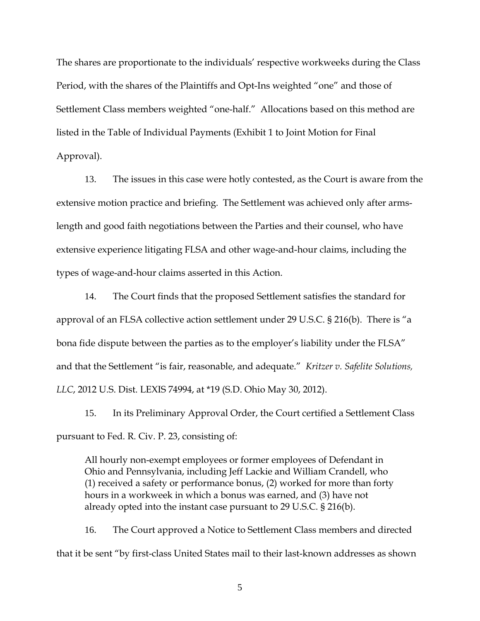The shares are proportionate to the individuals' respective workweeks during the Class Period, with the shares of the Plaintiffs and Opt-Ins weighted "one" and those of Settlement Class members weighted "one-half." Allocations based on this method are listed in the Table of Individual Payments (Exhibit 1 to Joint Motion for Final Approval).

13. The issues in this case were hotly contested, as the Court is aware from the extensive motion practice and briefing. The Settlement was achieved only after armslength and good faith negotiations between the Parties and their counsel, who have extensive experience litigating FLSA and other wage-and-hour claims, including the types of wage-and-hour claims asserted in this Action.

14. The Court finds that the proposed Settlement satisfies the standard for approval of an FLSA collective action settlement under 29 U.S.C. § 216(b). There is "a bona fide dispute between the parties as to the employer's liability under the FLSA" and that the Settlement "is fair, reasonable, and adequate." *Kritzer v. Safelite Solutions, LLC*, 2012 U.S. Dist. LEXIS 74994, at \*19 (S.D. Ohio May 30, 2012).

15. In its Preliminary Approval Order, the Court certified a Settlement Class pursuant to Fed. R. Civ. P. 23, consisting of:

All hourly non-exempt employees or former employees of Defendant in Ohio and Pennsylvania, including Jeff Lackie and William Crandell, who (1) received a safety or performance bonus, (2) worked for more than forty hours in a workweek in which a bonus was earned, and (3) have not already opted into the instant case pursuant to 29 U.S.C. § 216(b).

16. The Court approved a Notice to Settlement Class members and directed that it be sent "by first-class United States mail to their last-known addresses as shown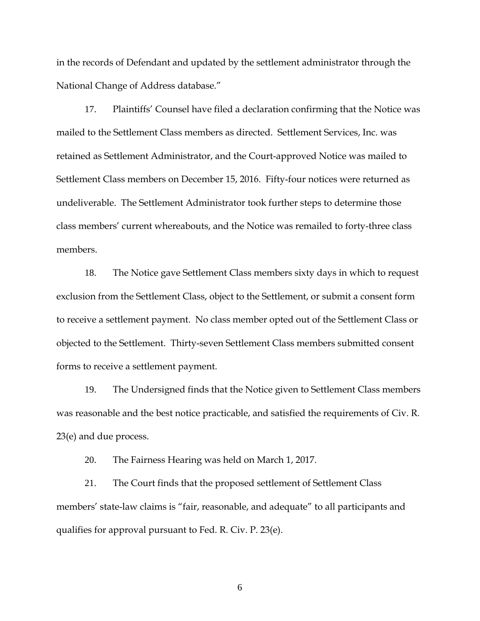in the records of Defendant and updated by the settlement administrator through the National Change of Address database."

17. Plaintiffs' Counsel have filed a declaration confirming that the Notice was mailed to the Settlement Class members as directed. Settlement Services, Inc. was retained as Settlement Administrator, and the Court-approved Notice was mailed to Settlement Class members on December 15, 2016. Fifty-four notices were returned as undeliverable. The Settlement Administrator took further steps to determine those class members' current whereabouts, and the Notice was remailed to forty-three class members.

18. The Notice gave Settlement Class members sixty days in which to request exclusion from the Settlement Class, object to the Settlement, or submit a consent form to receive a settlement payment. No class member opted out of the Settlement Class or objected to the Settlement. Thirty-seven Settlement Class members submitted consent forms to receive a settlement payment.

19. The Undersigned finds that the Notice given to Settlement Class members was reasonable and the best notice practicable, and satisfied the requirements of Civ. R. 23(e) and due process.

20. The Fairness Hearing was held on March 1, 2017.

21. The Court finds that the proposed settlement of Settlement Class members' state-law claims is "fair, reasonable, and adequate" to all participants and qualifies for approval pursuant to Fed. R. Civ. P. 23(e).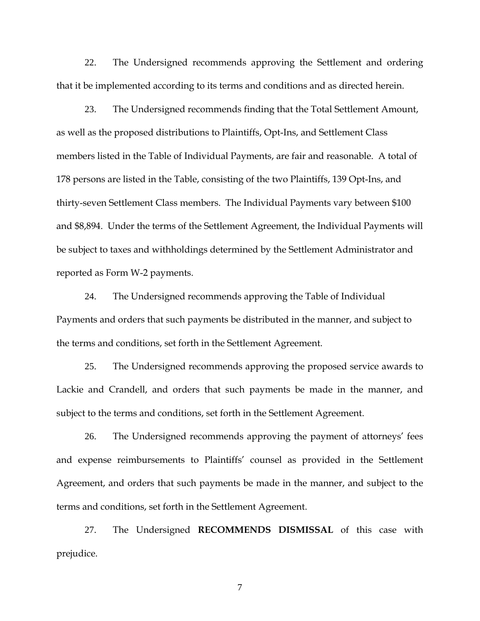22. The Undersigned recommends approving the Settlement and ordering that it be implemented according to its terms and conditions and as directed herein.

23. The Undersigned recommends finding that the Total Settlement Amount, as well as the proposed distributions to Plaintiffs, Opt-Ins, and Settlement Class members listed in the Table of Individual Payments, are fair and reasonable. A total of 178 persons are listed in the Table, consisting of the two Plaintiffs, 139 Opt-Ins, and thirty-seven Settlement Class members. The Individual Payments vary between \$100 and \$8,894. Under the terms of the Settlement Agreement, the Individual Payments will be subject to taxes and withholdings determined by the Settlement Administrator and reported as Form W-2 payments.

24. The Undersigned recommends approving the Table of Individual Payments and orders that such payments be distributed in the manner, and subject to the terms and conditions, set forth in the Settlement Agreement.

25. The Undersigned recommends approving the proposed service awards to Lackie and Crandell, and orders that such payments be made in the manner, and subject to the terms and conditions, set forth in the Settlement Agreement.

26. The Undersigned recommends approving the payment of attorneys' fees and expense reimbursements to Plaintiffs' counsel as provided in the Settlement Agreement, and orders that such payments be made in the manner, and subject to the terms and conditions, set forth in the Settlement Agreement.

27. The Undersigned **RECOMMENDS DISMISSAL** of this case with prejudice.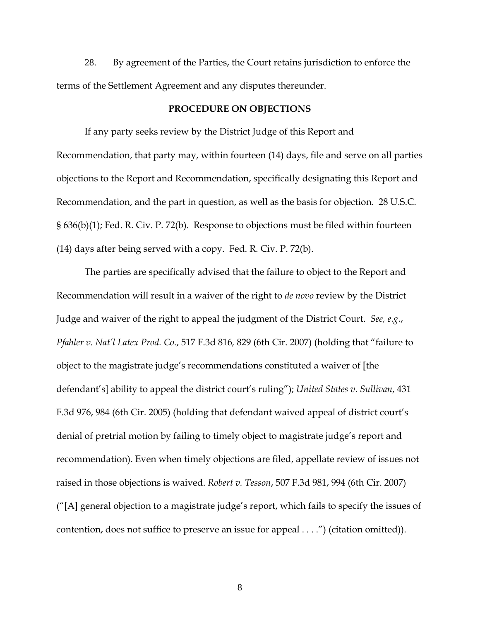28. By agreement of the Parties, the Court retains jurisdiction to enforce the terms of the Settlement Agreement and any disputes thereunder.

## **PROCEDURE ON OBJECTIONS**

 If any party seeks review by the District Judge of this Report and Recommendation, that party may, within fourteen (14) days, file and serve on all parties objections to the Report and Recommendation, specifically designating this Report and Recommendation, and the part in question, as well as the basis for objection. 28 U.S.C. § 636(b)(1); Fed. R. Civ. P. 72(b). Response to objections must be filed within fourteen (14) days after being served with a copy. Fed. R. Civ. P. 72(b).

 The parties are specifically advised that the failure to object to the Report and Recommendation will result in a waiver of the right to *de novo* review by the District Judge and waiver of the right to appeal the judgment of the District Court. *See, e.g.*, *Pfahler v. Nat'l Latex Prod. Co.*, 517 F.3d 816*,* 829 (6th Cir. 2007) (holding that "failure to object to the magistrate judge's recommendations constituted a waiver of [the defendant's] ability to appeal the district court's ruling"); *United States v. Sullivan*, 431 F.3d 976, 984 (6th Cir. 2005) (holding that defendant waived appeal of district court's denial of pretrial motion by failing to timely object to magistrate judge's report and recommendation). Even when timely objections are filed, appellate review of issues not raised in those objections is waived. *Robert v. Tesson*, 507 F.3d 981, 994 (6th Cir. 2007) ("[A] general objection to a magistrate judge's report, which fails to specify the issues of contention, does not suffice to preserve an issue for appeal . . . .") (citation omitted)).